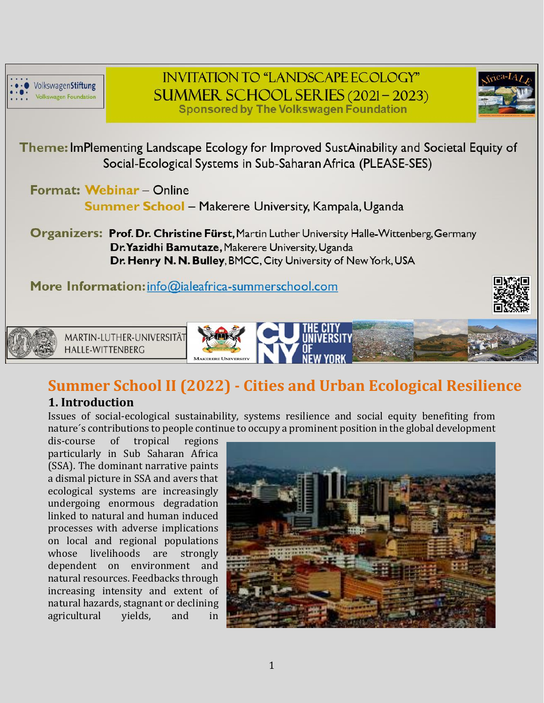

**INVITATION TO "LANDSCAPE ECOLOGY"** SUMMER SCHOOL SERIES (2021-2023) **Sponsored by The Volkswagen Foundation** 



Theme: ImPlementing Landscape Ecology for Improved SustAinability and Societal Equity of Social-Ecological Systems in Sub-Saharan Africa (PLEASE-SES)

Format: Webinar - Online

Summer School - Makerere University, Kampala, Uganda

**Organizers: Prof. Dr. Christine Fürst, Martin Luther University Halle-Wittenberg, Germany** Dr. Yazidhi Bamutaze, Makerere University, Uganda Dr. Henry N. N. Bulley, BMCC, City University of New York, USA

More Information: info@ialeafrica-summerschool.com





MARTIN-LUTHER-UNIVERSITÄT **HALLE-WITTENBERG** 



# **Summer School II (2022) - Cities and Urban Ecological Resilience**

# **1. Introduction**

Issues of social-ecological sustainability, systems resilience and social equity benefiting from nature´s contributions to people continue to occupy a prominent position in the global development

dis-course of tropical regions particularly in Sub Saharan Africa (SSA). The dominant narrative paints a dismal picture in SSA and avers that ecological systems are increasingly undergoing enormous degradation linked to natural and human induced processes with adverse implications on local and regional populations whose livelihoods are strongly dependent on environment and natural resources. Feedbacks through increasing intensity and extent of natural hazards, stagnant or declining agricultural yields, and in

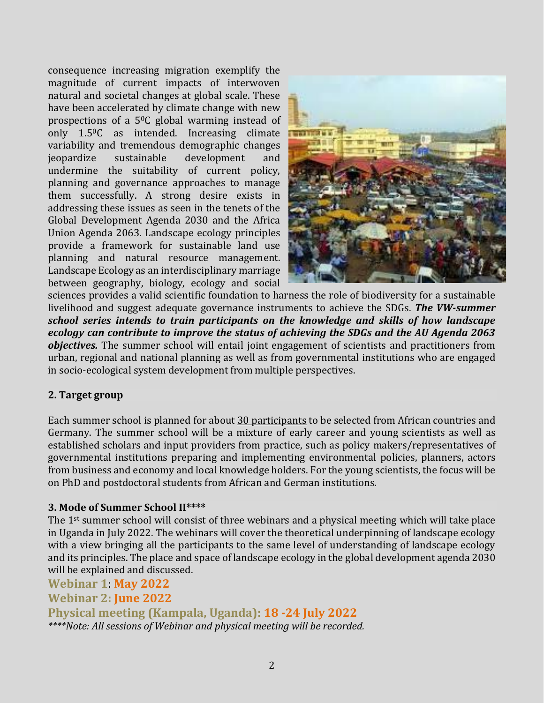consequence increasing migration exemplify the magnitude of current impacts of interwoven natural and societal changes at global scale. These have been accelerated by climate change with new prospections of a 50C global warming instead of only 1.50C as intended. Increasing climate variability and tremendous demographic changes jeopardize sustainable development and undermine the suitability of current policy, planning and governance approaches to manage them successfully. A strong desire exists in addressing these issues as seen in the tenets of the Global Development Agenda 2030 and the Africa Union Agenda 2063. Landscape ecology principles provide a framework for sustainable land use planning and natural resource management. Landscape Ecology as an interdisciplinary marriage between geography, biology, ecology and social



sciences provides a valid scientific foundation to harness the role of biodiversity for a sustainable livelihood and suggest adequate governance instruments to achieve the SDGs. *The VW-summer school series intends to train participants on the knowledge and skills of how landscape ecology can contribute to improve the status of achieving the SDGs and the AU Agenda 2063 objectives.* The summer school will entail joint engagement of scientists and practitioners from urban, regional and national planning as well as from governmental institutions who are engaged in socio-ecological system development from multiple perspectives.

## **2. Target group**

Each summer school is planned for about 30 participants to be selected from African countries and Germany. The summer school will be a mixture of early career and young scientists as well as established scholars and input providers from practice, such as policy makers/representatives of governmental institutions preparing and implementing environmental policies, planners, actors from business and economy and local knowledge holders. For the young scientists, the focus will be on PhD and postdoctoral students from African and German institutions.

#### **3. Mode of Summer School II\*\*\*\***

The 1st summer school will consist of three webinars and a physical meeting which will take place in Uganda in July 2022. The webinars will cover the theoretical underpinning of landscape ecology with a view bringing all the participants to the same level of understanding of landscape ecology and its principles. The place and space of landscape ecology in the global development agenda 2030 will be explained and discussed.

**Webinar 1**: **May 2022 Webinar 2: June 2022 Physical meeting (Kampala, Uganda): 18 -24 July 2022** *\*\*\*\*Note: All sessions of Webinar and physical meeting will be recorded.*